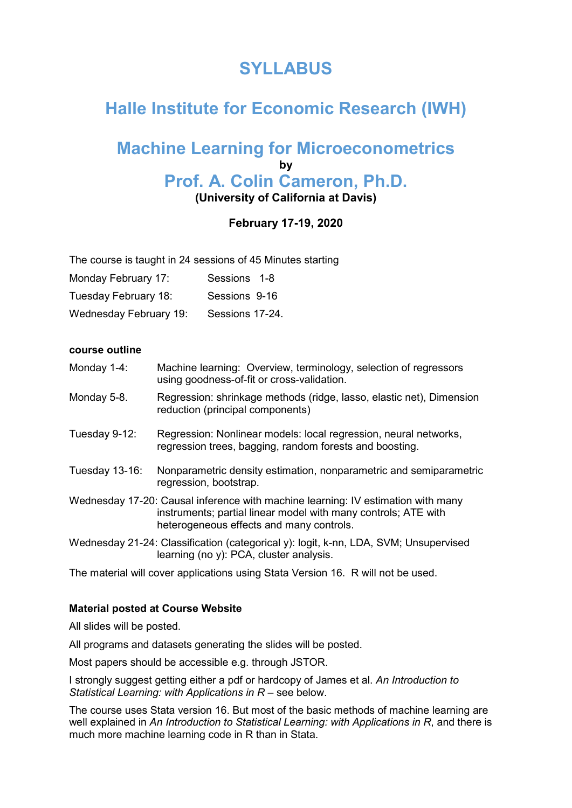# **SYLLABUS**

# **Halle Institute for Economic Research (IWH)**

# **Machine Learning for Microeconometrics by Prof. A. Colin Cameron, Ph.D. (University of California at Davis)**

# **February 17-19, 2020**

The course is taught in 24 sessions of 45 Minutes starting

| Monday February 17: | Sessions 1-8 |  |
|---------------------|--------------|--|
|---------------------|--------------|--|

| Tuesday February 18: | Sessions 9-16 |  |
|----------------------|---------------|--|
|----------------------|---------------|--|

Wednesday February 19: Sessions 17-24.

#### **course outline**

- Monday 1-4: Machine learning: Overview, terminology, selection of regressors using goodness-of-fit or cross-validation.
- Monday 5-8. Regression: shrinkage methods (ridge, lasso, elastic net), Dimension reduction (principal components)
- Tuesday 9-12: Regression: Nonlinear models: local regression, neural networks, regression trees, bagging, random forests and boosting.
- Tuesday 13-16: Nonparametric density estimation, nonparametric and semiparametric regression, bootstrap.
- Wednesday 17-20: Causal inference with machine learning: IV estimation with many instruments; partial linear model with many controls; ATE with heterogeneous effects and many controls.
- Wednesday 21-24: Classification (categorical y): logit, k-nn, LDA, SVM; Unsupervised learning (no y): PCA, cluster analysis.

The material will cover applications using Stata Version 16. R will not be used.

#### **Material posted at Course Website**

All slides will be posted.

All programs and datasets generating the slides will be posted.

Most papers should be accessible e.g. through JSTOR.

I strongly suggest getting either a pdf or hardcopy of James et al. *An Introduction to Statistical Learning: with Applications in R* – see below.

The course uses Stata version 16. But most of the basic methods of machine learning are well explained in *An Introduction to Statistical Learning: with Applications in R*, and there is much more machine learning code in R than in Stata.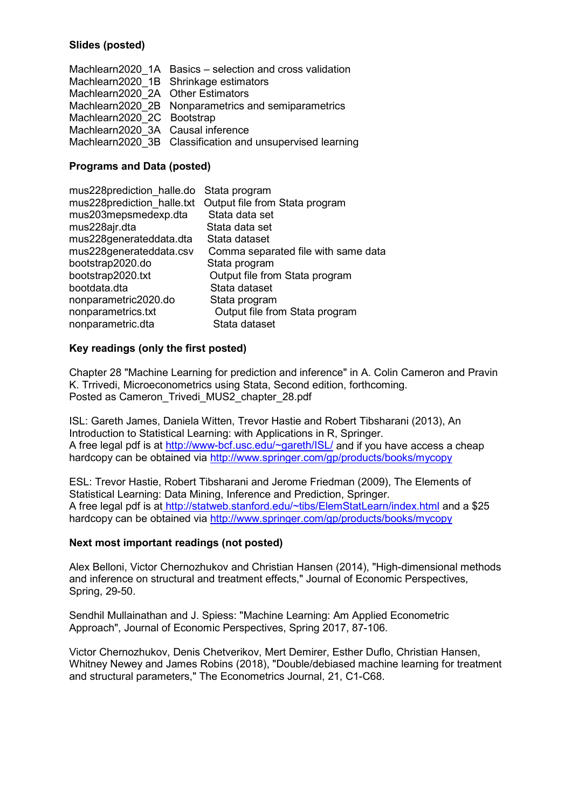# **Slides (posted)**

|                                   | Machlearn2020 1A Basics – selection and cross validation  |
|-----------------------------------|-----------------------------------------------------------|
|                                   | Machlearn2020 1B Shrinkage estimators                     |
| Machlearn2020 2A Other Estimators |                                                           |
|                                   | Machlearn2020 2B Nonparametrics and semiparametrics       |
| Machlearn2020 2C Bootstrap        |                                                           |
| Machlearn2020 3A Causal inference |                                                           |
|                                   | Machlearn2020_3B Classification and unsupervised learning |

### **Programs and Data (posted)**

| mus228prediction_halle.do Stata program |                                     |
|-----------------------------------------|-------------------------------------|
| mus228prediction halle.txt              | Output file from Stata program      |
| mus203mepsmedexp.dta                    | Stata data set                      |
| mus228ajr.dta                           | Stata data set                      |
| mus228generateddata.dta                 | Stata dataset                       |
| mus228generateddata.csv                 | Comma separated file with same data |
| bootstrap2020.do                        | Stata program                       |
| bootstrap2020.txt                       | Output file from Stata program      |
| bootdata.dta                            | Stata dataset                       |
| nonparametric2020.do                    | Stata program                       |
| nonparametrics.txt                      | Output file from Stata program      |
| nonparametric.dta                       | Stata dataset                       |
|                                         |                                     |

#### **Key readings (only the first posted)**

Chapter 28 "Machine Learning for prediction and inference" in A. Colin Cameron and Pravin K. Trrivedi, Microeconometrics using Stata, Second edition, forthcoming. Posted as Cameron\_Trivedi\_MUS2\_chapter\_28.pdf

ISL: Gareth James, Daniela Witten, Trevor Hastie and Robert Tibsharani (2013), An Introduction to Statistical Learning: with Applications in R, Springer. A free legal pdf is at [http://www-bcf.usc.edu/~gareth/ISL/](http://www-bcf.usc.edu/%7Egareth/ISL/) and if you have access a cheap hardcopy can be obtained via<http://www.springer.com/gp/products/books/mycopy>

ESL: Trevor Hastie, Robert Tibsharani and Jerome Friedman (2009), The Elements of Statistical Learning: Data Mining, Inference and Prediction, Springer. A free legal pdf is at [http://statweb.stanford.edu/~tibs/ElemStatLearn/index.html](http://statweb.stanford.edu/%7Etibs/ElemStatLearn/index.html) and a \$25 hardcopy can be obtained via<http://www.springer.com/gp/products/books/mycopy>

#### **Next most important readings (not posted)**

Alex Belloni, Victor Chernozhukov and Christian Hansen (2014), "High-dimensional methods and inference on structural and treatment effects," Journal of Economic Perspectives, Spring, 29-50.

Sendhil Mullainathan and J. Spiess: "Machine Learning: Am Applied Econometric Approach", Journal of Economic Perspectives, Spring 2017, 87-106.

Victor Chernozhukov, Denis Chetverikov, Mert Demirer, Esther Duflo, Christian Hansen, Whitney Newey and James Robins (2018), "Double/debiased machine learning for treatment and structural parameters," The Econometrics Journal, 21, C1-C68.